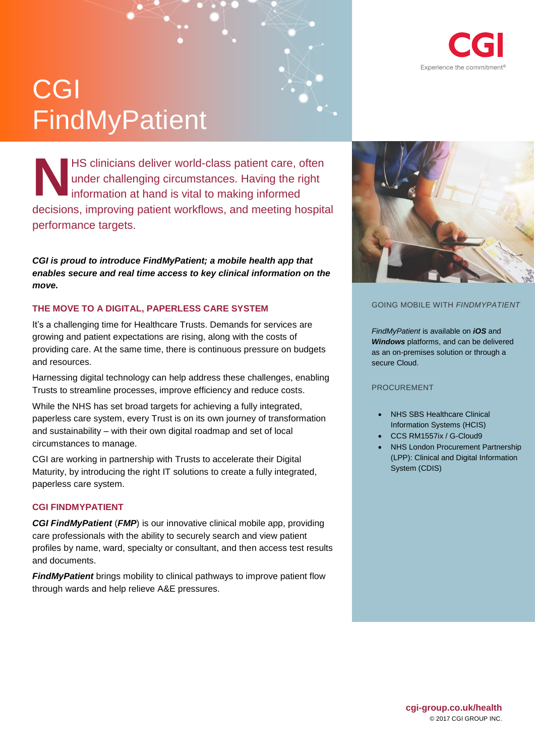

# CGI **FindMyPatient**

HS clinicians deliver world-class patient care, often under challenging circumstances. Having the right information at hand is vital to making informed decisions, improving patient workflows, and meeting hospital performance targets. **N**

*CGI is proud to introduce FindMyPatient; a mobile health app that enables secure and real time access to key clinical information on the move.*

# **THE MOVE TO A DIGITAL, PAPERLESS CARE SYSTEM**

It's a challenging time for Healthcare Trusts. Demands for services are growing and patient expectations are rising, along with the costs of providing care. At the same time, there is continuous pressure on budgets and resources.

Harnessing digital technology can help address these challenges, enabling Trusts to streamline processes, improve efficiency and reduce costs.

While the NHS has set broad targets for achieving a fully integrated, paperless care system, every Trust is on its own journey of transformation and sustainability – with their own digital roadmap and set of local circumstances to manage.

CGI are working in partnership with Trusts to accelerate their Digital Maturity, by introducing the right IT solutions to create a fully integrated, paperless care system.

## **CGI FINDMYPATIENT**

*CGI FindMyPatient* (*FMP*) is our innovative clinical mobile app, providing care professionals with the ability to securely search and view patient profiles by name, ward, specialty or consultant, and then access test results and documents.

*FindMyPatient* brings mobility to clinical pathways to improve patient flow through wards and help relieve A&E pressures.



### GOING MOBILE WITH *FINDMYPATIENT*

*FindMyPatient* is available on *iOS* and *Windows* platforms, and can be delivered as an on-premises solution or through a secure Cloud.

#### PROCUREMENT

- NHS SBS Healthcare Clinical Information Systems (HCIS)
- CCS RM1557ix / G-Cloud9
- NHS London Procurement Partnership (LPP): Clinical and Digital Information System (CDIS)